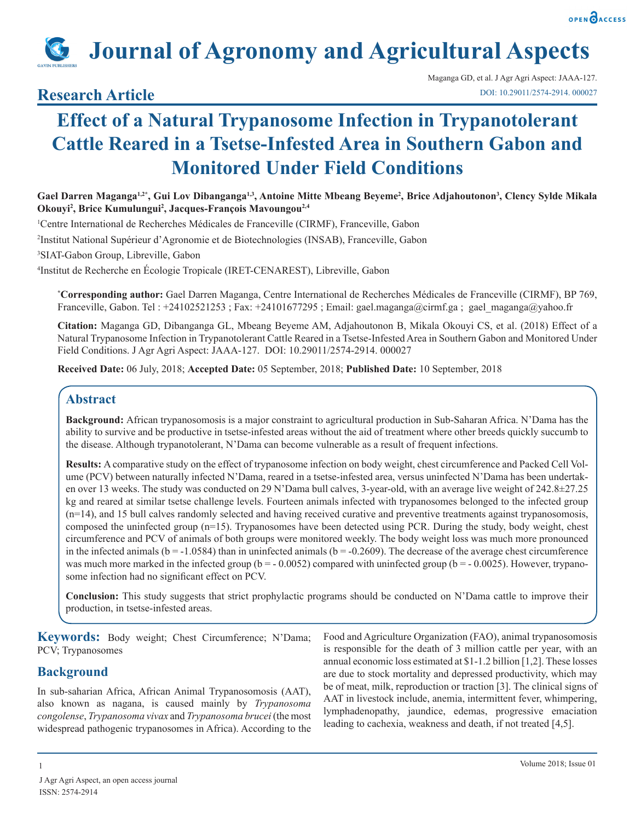

# **Journal of Agronomy and Agricultural Aspects**

### **Research Article**

## **Effect of a Natural Trypanosome Infection in Trypanotolerant Cattle Reared in a Tsetse-Infested Area in Southern Gabon and Monitored Under Field Conditions**

Gael Darren Maganga<sup>1,2</sup>\*, Gui Lov Dibanganga<sup>1,3</sup>, Antoine Mitte Mbeang Beyeme<sup>2</sup>, Brice Adjahoutonon<sup>3</sup>, Clency Sylde Mikala **Okouyi2 , Brice Kumulungui2 , Jacques-François Mavoungou2,4**

1 Centre International de Recherches Médicales de Franceville (CIRMF), Franceville, Gabon

2 Institut National Supérieur d'Agronomie et de Biotechnologies (INSAB), Franceville, Gabon

3 SIAT-Gabon Group, Libreville, Gabon

4 Institut de Recherche en Écologie Tropicale (IRET-CENAREST), Libreville, Gabon

**\* Corresponding author:** Gael Darren Maganga, Centre International de Recherches Médicales de Franceville (CIRMF), BP 769, Franceville, Gabon. Tel : +24102521253 ; Fax: +24101677295 ; Email: gael.maganga@cirmf.ga ; gael\_maganga@yahoo.fr

**Citation:** Maganga GD, Dibanganga GL, Mbeang Beyeme AM, Adjahoutonon B, Mikala Okouyi CS, et al. (2018) Effect of a Natural Trypanosome Infection in Trypanotolerant Cattle Reared in a Tsetse-Infested Area in Southern Gabon and Monitored Under Field Conditions. J Agr Agri Aspect: JAAA-127. DOI: 10.29011/2574-2914. 000027

**Received Date:** 06 July, 2018; **Accepted Date:** 05 September, 2018; **Published Date:** 10 September, 2018

#### **Abstract**

**Background:** African trypanosomosis is a major constraint to agricultural production in Sub-Saharan Africa. N'Dama has the ability to survive and be productive in tsetse-infested areas without the aid of treatment where other breeds quickly succumb to the disease. Although trypanotolerant, N'Dama can become vulnerable as a result of frequent infections.

**Results:** A comparative study on the effect of trypanosome infection on body weight, chest circumference and Packed Cell Volume (PCV) between naturally infected N'Dama, reared in a tsetse-infested area, versus uninfected N'Dama has been undertaken over 13 weeks. The study was conducted on 29 N'Dama bull calves, 3-year-old, with an average live weight of 242.8±27.25 kg and reared at similar tsetse challenge levels. Fourteen animals infected with trypanosomes belonged to the infected group (n=14), and 15 bull calves randomly selected and having received curative and preventive treatments against trypanosomosis, composed the uninfected group (n=15). Trypanosomes have been detected using PCR. During the study, body weight, chest circumference and PCV of animals of both groups were monitored weekly. The body weight loss was much more pronounced in the infected animals ( $b = -1.0584$ ) than in uninfected animals ( $b = -0.2609$ ). The decrease of the average chest circumference was much more marked in the infected group ( $b = -0.0052$ ) compared with uninfected group ( $b = -0.0025$ ). However, trypanosome infection had no significant effect on PCV.

**Conclusion:** This study suggests that strict prophylactic programs should be conducted on N'Dama cattle to improve their production, in tsetse-infested areas.

**Keywords:** Body weight; Chest Circumference; N'Dama; PCV; Trypanosomes

#### **Background**

In sub-saharian Africa, African Animal Trypanosomosis (AAT), also known as nagana, is caused mainly by *Trypanosoma congolense*, *Trypanosoma vivax* and *Trypanosoma brucei* (the most widespread pathogenic trypanosomes in Africa). According to the Food and Agriculture Organization (FAO), animal trypanosomosis is responsible for the death of 3 million cattle per year, with an annual economic loss estimated at \$1-1.2 billion [1,2]. These losses are due to stock mortality and depressed productivity, which may be of meat, milk, reproduction or traction [3]. The clinical signs of AAT in livestock include, anemia, intermittent fever, whimpering, lymphadenopathy, jaundice, edemas, progressive emaciation leading to cachexia, weakness and death, if not treated [4,5].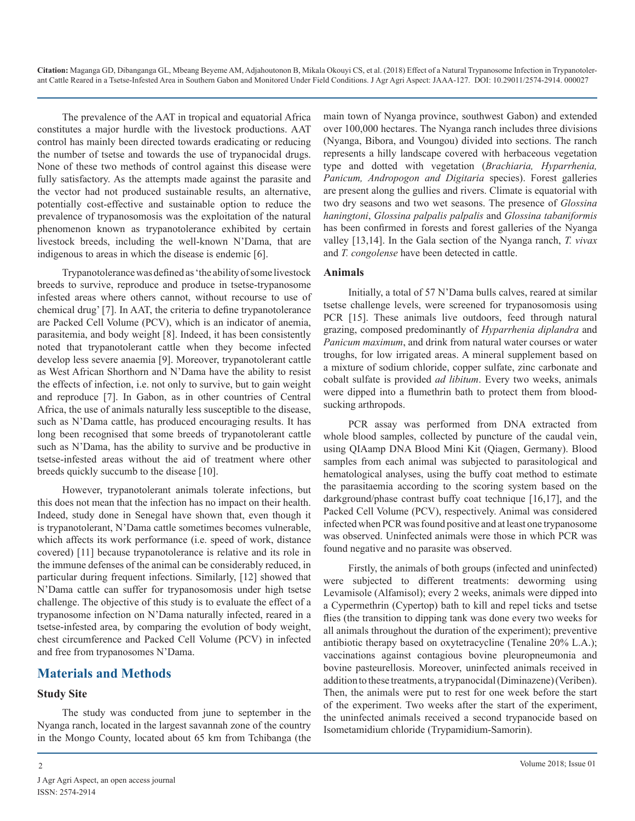The prevalence of the AAT in tropical and equatorial Africa constitutes a major hurdle with the livestock productions. AAT control has mainly been directed towards eradicating or reducing the number of tsetse and towards the use of trypanocidal drugs. None of these two methods of control against this disease were fully satisfactory. As the attempts made against the parasite and the vector had not produced sustainable results, an alternative, potentially cost-effective and sustainable option to reduce the prevalence of trypanosomosis was the exploitation of the natural phenomenon known as trypanotolerance exhibited by certain livestock breeds, including the well-known N'Dama, that are indigenous to areas in which the disease is endemic [6].

Trypanotolerance was defined as 'the ability of some livestock breeds to survive, reproduce and produce in tsetse-trypanosome infested areas where others cannot, without recourse to use of chemical drug' [7]. In AAT, the criteria to define trypanotolerance are Packed Cell Volume (PCV), which is an indicator of anemia, parasitemia, and body weight [8]. Indeed, it has been consistently noted that trypanotolerant cattle when they become infected develop less severe anaemia [9]. Moreover, trypanotolerant cattle as West African Shorthorn and N'Dama have the ability to resist the effects of infection, i.e. not only to survive, but to gain weight and reproduce [7]. In Gabon, as in other countries of Central Africa, the use of animals naturally less susceptible to the disease, such as N'Dama cattle, has produced encouraging results. It has long been recognised that some breeds of trypanotolerant cattle such as N'Dama, has the ability to survive and be productive in tsetse-infested areas without the aid of treatment where other breeds quickly succumb to the disease [10].

However, trypanotolerant animals tolerate infections, but this does not mean that the infection has no impact on their health. Indeed, study done in Senegal have shown that, even though it is trypanotolerant, N'Dama cattle sometimes becomes vulnerable, which affects its work performance (i.e. speed of work, distance covered) [11] because trypanotolerance is relative and its role in the immune defenses of the animal can be considerably reduced, in particular during frequent infections. Similarly, [12] showed that N'Dama cattle can suffer for trypanosomosis under high tsetse challenge. The objective of this study is to evaluate the effect of a trypanosome infection on N'Dama naturally infected, reared in a tsetse-infested area, by comparing the evolution of body weight, chest circumference and Packed Cell Volume (PCV) in infected and free from trypanosomes N'Dama.

#### **Materials and Methods**

#### **Study Site**

The study was conducted from june to september in the Nyanga ranch, located in the largest savannah zone of the country in the Mongo County, located about 65 km from Tchibanga (the main town of Nyanga province, southwest Gabon) and extended over 100,000 hectares. The Nyanga ranch includes three divisions (Nyanga, Bibora, and Voungou) divided into sections. The ranch represents a hilly landscape covered with herbaceous vegetation type and dotted with vegetation (*Brachiaria, Hyparrhenia, Panicum, Andropogon and Digitaria* species). Forest galleries are present along the gullies and rivers. Climate is equatorial with two dry seasons and two wet seasons. The presence of *Glossina haningtoni*, *Glossina palpalis palpalis* and *Glossina tabaniformis* has been confirmed in forests and forest galleries of the Nyanga valley [13,14]. In the Gala section of the Nyanga ranch, *T. vivax*  and *T. congolense* have been detected in cattle.

#### **Animals**

Initially, a total of 57 N'Dama bulls calves, reared at similar tsetse challenge levels, were screened for trypanosomosis using PCR [15]. These animals live outdoors, feed through natural grazing, composed predominantly of *Hyparrhenia diplandra* and *Panicum maximum*, and drink from natural water courses or water troughs, for low irrigated areas. A mineral supplement based on a mixture of sodium chloride, copper sulfate, zinc carbonate and cobalt sulfate is provided *ad libitum*. Every two weeks, animals were dipped into a flumethrin bath to protect them from bloodsucking arthropods.

PCR assay was performed from DNA extracted from whole blood samples, collected by puncture of the caudal vein, using QIAamp DNA Blood Mini Kit (Qiagen, Germany). Blood samples from each animal was subjected to parasitological and hematological analyses, using the buffy coat method to estimate the parasitaemia according to the scoring system based on the darkground/phase contrast buffy coat technique [16,17], and the Packed Cell Volume (PCV), respectively. Animal was considered infected when PCR was found positive and at least one trypanosome was observed. Uninfected animals were those in which PCR was found negative and no parasite was observed.

Firstly, the animals of both groups (infected and uninfected) were subjected to different treatments: deworming using Levamisole (Alfamisol); every 2 weeks, animals were dipped into a Cypermethrin (Cypertop) bath to kill and repel ticks and tsetse flies (the transition to dipping tank was done every two weeks for all animals throughout the duration of the experiment); preventive antibiotic therapy based on oxytetracycline (Tenaline 20% L.A.); vaccinations against contagious bovine pleuropneumonia and bovine pasteurellosis. Moreover, uninfected animals received in addition to these treatments, a trypanocidal (Diminazene) (Veriben). Then, the animals were put to rest for one week before the start of the experiment. Two weeks after the start of the experiment, the uninfected animals received a second trypanocide based on Isometamidium chloride (Trypamidium-Samorin).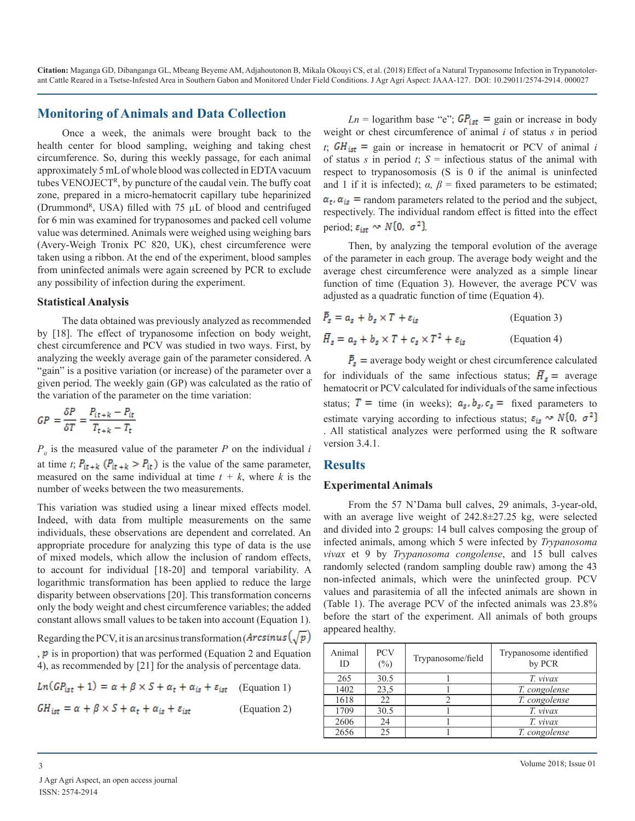#### **Monitoring of Animals and Data Collection**

Once a week, the animals were brought back to the health center for blood sampling, weighing and taking chest circumference. So, during this weekly passage, for each animal approximately 5 mL of whole blood was collected in EDTA vacuum tubes VENOJECTR, by puncture of the caudal vein. The buffy coat zone, prepared in a micro-hematocrit capillary tube heparinized (Drummond<sup>R</sup>, USA) filled with 75  $\mu$ L of blood and centrifuged for 6 min was examined for trypanosomes and packed cell volume value was determined. Animals were weighed using weighing bars (Avery-Weigh Tronix PC 820, UK), chest circumference were taken using a ribbon. At the end of the experiment, blood samples from uninfected animals were again screened by PCR to exclude any possibility of infection during the experiment.

#### **Statistical Analysis**

The data obtained was previously analyzed as recommended by [18]. The effect of trypanosome infection on body weight, chest circumference and PCV was studied in two ways. First, by analyzing the weekly average gain of the parameter considered. A "gain" is a positive variation (or increase) of the parameter over a given period. The weekly gain (GP) was calculated as the ratio of the variation of the parameter on the time variation:

$$
GP = \frac{\delta P}{\delta T} = \frac{P_{it+k} - P_{it}}{T_{t+k} - T_t}
$$

 $P_{it}$  is the measured value of the parameter *P* on the individual *i* at time *t*;  $P_{it+k}$  ( $P_{it+k} > P_{it}$ ) is the value of the same parameter, measured on the same individual at time  $t + k$ , where k is the number of weeks between the two measurements.

This variation was studied using a linear mixed effects model. Indeed, with data from multiple measurements on the same individuals, these observations are dependent and correlated. An appropriate procedure for analyzing this type of data is the use of mixed models, which allow the inclusion of random effects, to account for individual [18-20] and temporal variability. A logarithmic transformation has been applied to reduce the large disparity between observations [20]. This transformation concerns only the body weight and chest circumference variables; the added constant allows small values to be taken into account (Equation 1).

Regarding the PCV, it is an arcsinus transformation ( $\text{Arcsinus}\left(\sqrt{p}\right)$ 

 $, p$  is in proportion) that was performed (Equation 2 and Equation 4), as recommended by [21] for the analysis of percentage data.

 $Ln(GP_{ist} + 1) = \alpha + \beta \times S + \alpha_t + \alpha_{is} + \varepsilon_{ist}$  (Equation 1)

 $GH_{ist} = \alpha + \beta \times S + \alpha_t + \alpha_{is} + \varepsilon_{ist}$  (Equation 2)

*Ln* = logarithm base "e";  $GP_{\text{ist}}$  = gain or increase in body weight or chest circumference of animal *i* of status *s* in period  $t_i$ ;  $GH_{\text{ist}}$  = gain or increase in hematocrit or PCV of animal *i* of status *s* in period *t*;  $S =$  infectious status of the animal with respect to trypanosomosis (S is 0 if the animal is uninfected and 1 if it is infected);  $\alpha$ ,  $\beta$  = fixed parameters to be estimated;  $\alpha_t$ ,  $\alpha_{is}$  = random parameters related to the period and the subject, respectively. The individual random effect is fitted into the effect period;  $\varepsilon_{\rm ist} \sim N\{0, \sigma^2\}$ 

Then, by analyzing the temporal evolution of the average of the parameter in each group. The average body weight and the average chest circumference were analyzed as a simple linear function of time (Equation 3). However, the average PCV was adjusted as a quadratic function of time (Equation 4).

$$
\bar{P}_s = a_s + b_s \times T + \varepsilon_{is}
$$
 (Equation 3)  
\n
$$
\bar{H}_s = a_s + b_s \times T + c_s \times T^2 + \varepsilon_{is}
$$
 (Equation 4)

 $\bar{P}_s$  = average body weight or chest circumference calculated for individuals of the same infectious status;  $\overline{H}_s$  = average hematocrit or PCV calculated for individuals of the same infectious status;  $T =$  time (in weeks);  $a_s, b_s, c_s =$  fixed parameters to estimate varying according to infectious status;  $\varepsilon_{is} \sim N\{0, \sigma^2\}$ . All statistical analyzes were performed using the R software version 3.4.1.

#### **Results**

#### **Experimental Animals**

From the 57 N'Dama bull calves, 29 animals, 3-year-old, with an average live weight of 242.8±27.25 kg, were selected and divided into 2 groups: 14 bull calves composing the group of infected animals, among which 5 were infected by *Trypanosoma vivax* et 9 by *Trypanosoma congolense*, and 15 bull calves randomly selected (random sampling double raw) among the 43 non-infected animals, which were the uninfected group. PCV values and parasitemia of all the infected animals are shown in (Table 1). The average PCV of the infected animals was 23.8% before the start of the experiment. All animals of both groups appeared healthy.

| Animal<br>ID | <b>PCV</b><br>$(\%)$ | Trypanosome/field | Trypanosome identified<br>by PCR |
|--------------|----------------------|-------------------|----------------------------------|
| 265          | 30.5                 |                   | T. vivax                         |
| 1402         | 23,5                 |                   | T. congolense                    |
| 1618         | 22                   |                   | T. congolense                    |
| 1709         | 30.5                 |                   | T. vivax                         |
| 2606         | 24                   |                   | T. vivax                         |
| 2656         | 25                   |                   | T. congolense                    |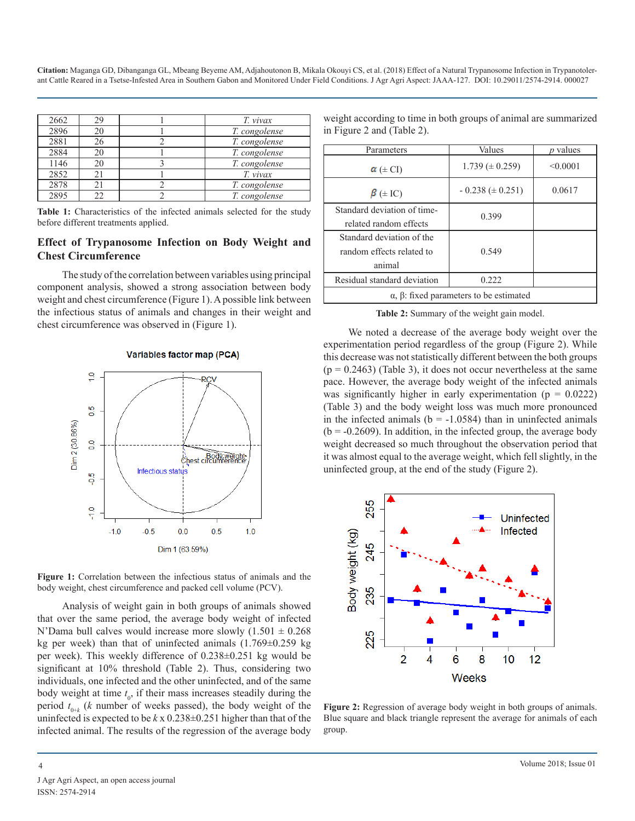| 2662 | 29 | T. vivax      |
|------|----|---------------|
| 2896 | 20 | T. congolense |
| 2881 | 26 | T. congolense |
| 2884 | 20 | T. congolense |
| 1146 | 20 | T. congolense |
| 2852 | 21 | T. vivax      |
| 2878 |    | T. congolense |
| 2895 | 22 | T. congolense |

Table 1: Characteristics of the infected animals selected for the study before different treatments applied.

#### **Effect of Trypanosome Infection on Body Weight and Chest Circumference**

The study of the correlation between variables using principal component analysis, showed a strong association between body weight and chest circumference (Figure 1). A possible link between the infectious status of animals and changes in their weight and chest circumference was observed in (Figure 1).

#### **Variables factor map (PCA)**





Analysis of weight gain in both groups of animals showed that over the same period, the average body weight of infected N'Dama bull calves would increase more slowly  $(1.501 \pm 0.268$ kg per week) than that of uninfected animals  $(1.769 \pm 0.259 \text{ kg})$ per week). This weekly difference of 0.238±0.251 kg would be significant at 10% threshold (Table 2). Thus, considering two individuals, one infected and the other uninfected, and of the same body weight at time  $t_0$ , if their mass increases steadily during the period  $t_{0+k}$  (*k* number of weeks passed), the body weight of the uninfected is expected to be  $k \times 0.238 \pm 0.251$  higher than that of the infected animal. The results of the regression of the average body

weight according to time in both groups of animal are summarized in Figure 2 and (Table 2).

| Parameters                                            | Values                 | <i>p</i> values |  |
|-------------------------------------------------------|------------------------|-----------------|--|
| $\alpha$ ( $\pm$ CI)                                  | $1.739 \ (\pm 0.259)$  | < 0.0001        |  |
| $\beta$ ( $\pm$ IC)                                   | $-0.238 \ (\pm 0.251)$ | 0.0617          |  |
| Standard deviation of time-                           | 0.399                  |                 |  |
| related random effects                                |                        |                 |  |
| Standard deviation of the                             | 0.549                  |                 |  |
| random effects related to                             |                        |                 |  |
| animal                                                |                        |                 |  |
| Residual standard deviation                           | 0.222                  |                 |  |
| $\alpha$ , $\beta$ : fixed parameters to be estimated |                        |                 |  |

**Table 2:** Summary of the weight gain model.

We noted a decrease of the average body weight over the experimentation period regardless of the group (Figure 2). While this decrease was not statistically different between the both groups  $(p = 0.2463)$  (Table 3), it does not occur nevertheless at the same pace. However, the average body weight of the infected animals was significantly higher in early experimentation ( $p = 0.0222$ ) (Table 3) and the body weight loss was much more pronounced in the infected animals ( $b = -1.0584$ ) than in uninfected animals  $(b = -0.2609)$ . In addition, in the infected group, the average body weight decreased so much throughout the observation period that it was almost equal to the average weight, which fell slightly, in the uninfected group, at the end of the study (Figure 2).



**Figure 2:** Regression of average body weight in both groups of animals. Blue square and black triangle represent the average for animals of each group.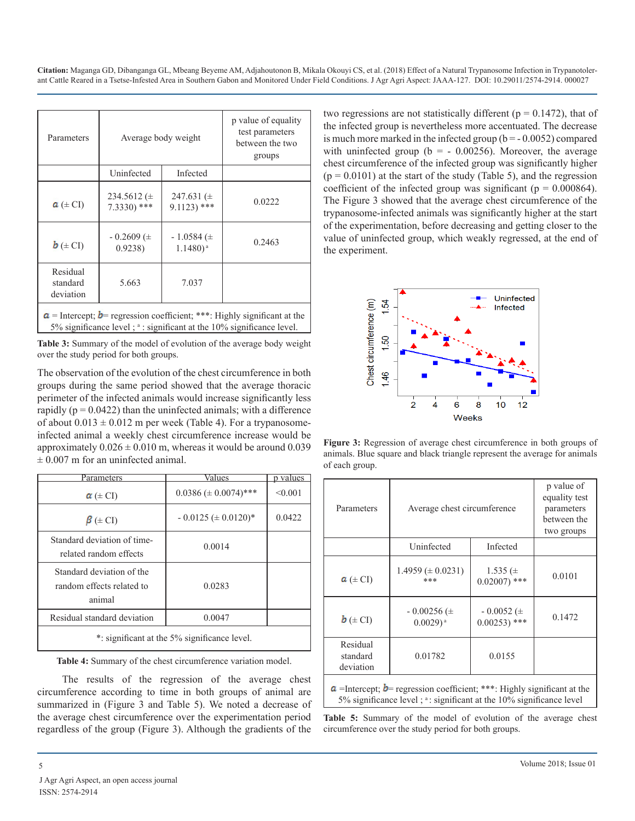| Parameters                                                                                                                                                 | Average body weight             |                                           | p value of equality<br>test parameters<br>between the two<br>groups |
|------------------------------------------------------------------------------------------------------------------------------------------------------------|---------------------------------|-------------------------------------------|---------------------------------------------------------------------|
|                                                                                                                                                            | Uninfected                      | Infected                                  |                                                                     |
| $a \neq C$ I                                                                                                                                               | 234.5612 $(\pm$<br>$7.3330$ *** | 247.631 $(\pm$<br>$9.1123$ <sup>***</sup> | 0.0222                                                              |
| $\mathbf{b}$ ( $\pm$ CI)                                                                                                                                   | $-0.2609$ ( $\pm$<br>0.9238     | $-1.0584 \ (\pm$<br>$1.1480$ <sup>a</sup> | 0.2463                                                              |
| Residual<br>standard<br>deviation                                                                                                                          | 5.663                           | 7.037                                     |                                                                     |
| $a$ = Intercept; <b>b</b> = regression coefficient; ***: Highly significant at the<br>5% significance level; a: significant at the 10% significance level. |                                 |                                           |                                                                     |

**Table 3:** Summary of the model of evolution of the average body weight over the study period for both groups.

The observation of the evolution of the chest circumference in both groups during the same period showed that the average thoracic perimeter of the infected animals would increase significantly less rapidly ( $p = 0.0422$ ) than the uninfected animals; with a difference of about  $0.013 \pm 0.012$  m per week (Table 4). For a trypanosomeinfected animal a weekly chest circumference increase would be approximately  $0.026 \pm 0.010$  m, whereas it would be around 0.039  $\pm 0.007$  m for an uninfected animal.

| Parameters                                                       | Values                        | <u>p values</u> |  |
|------------------------------------------------------------------|-------------------------------|-----------------|--|
| $\alpha$ ( $\pm$ CI)                                             | $0.0386 \ (\pm 0.0074)^{***}$ | < 0.001         |  |
| $\beta$ ( $\pm$ CI)                                              | $-0.0125 \ (\pm 0.0120)^*$    | 0.0422          |  |
| Standard deviation of time-<br>related random effects            | 0.0014                        |                 |  |
| Standard deviation of the<br>random effects related to<br>animal | 0.0283                        |                 |  |
| Residual standard deviation                                      | 0.0047                        |                 |  |
| *: significant at the 5% significance level.                     |                               |                 |  |

**Table 4:** Summary of the chest circumference variation model.

The results of the regression of the average chest circumference according to time in both groups of animal are summarized in (Figure 3 and Table 5). We noted a decrease of the average chest circumference over the experimentation period regardless of the group (Figure 3). Although the gradients of the two regressions are not statistically different ( $p = 0.1472$ ), that of the infected group is nevertheless more accentuated. The decrease is much more marked in the infected group ( $b = -0.0052$ ) compared with uninfected group ( $b = -0.00256$ ). Moreover, the average chest circumference of the infected group was significantly higher  $(p = 0.0101)$  at the start of the study (Table 5), and the regression coefficient of the infected group was significant ( $p = 0.000864$ ). The Figure 3 showed that the average chest circumference of the trypanosome-infected animals was significantly higher at the start of the experimentation, before decreasing and getting closer to the value of uninfected group, which weakly regressed, at the end of the experiment.



**Figure 3:** Regression of average chest circumference in both groups of animals. Blue square and black triangle represent the average for animals of each group.

| Parameters                                                                                                                                                | Average chest circumference                |                                     | p value of<br>equality test<br>parameters<br>between the<br>two groups |
|-----------------------------------------------------------------------------------------------------------------------------------------------------------|--------------------------------------------|-------------------------------------|------------------------------------------------------------------------|
|                                                                                                                                                           | Uninfected<br>Infected                     |                                     |                                                                        |
| $a \neq C$ I                                                                                                                                              | $1.4959 \ (\pm 0.0231)$<br>***             | 1.535 $(\pm$<br>$0.02007$ ***       | 0.0101                                                                 |
| $\mathbf{b}$ ( $\pm$ CI)                                                                                                                                  | $-0.00256 \ (\pm$<br>$0.0029$ <sup>a</sup> | $-0.0052 \ (\pm$<br>$0.00253$ ) *** | 0.1472                                                                 |
| Residual<br>standard<br>deviation                                                                                                                         | 0.01782                                    | 0.0155                              |                                                                        |
| $a$ =Intercept; $b$ = regression coefficient; ***: Highly significant at the<br>5% significance level $;$ $*$ : significant at the 10% significance level |                                            |                                     |                                                                        |

**Table 5:** Summary of the model of evolution of the average chest circumference over the study period for both groups.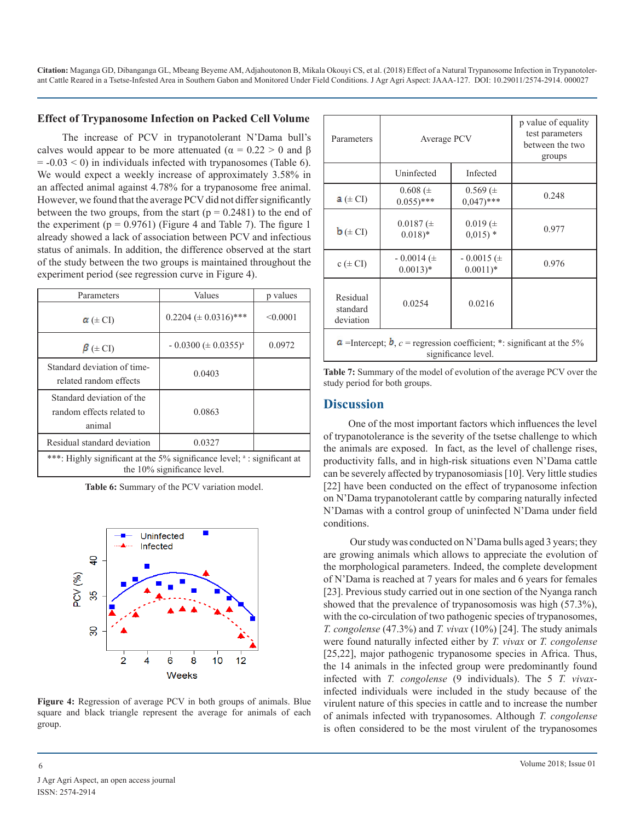#### **Effect of Trypanosome Infection on Packed Cell Volume**

The increase of PCV in trypanotolerant N'Dama bull's calves would appear to be more attenuated ( $\alpha = 0.22 > 0$  and  $\beta$ )  $= -0.03 \le 0$ ) in individuals infected with trypanosomes (Table 6). We would expect a weekly increase of approximately 3.58% in an affected animal against 4.78% for a trypanosome free animal. However, we found that the average PCV did not differ significantly between the two groups, from the start  $(p = 0.2481)$  to the end of the experiment ( $p = 0.9761$ ) (Figure 4 and Table 7). The figure 1 already showed a lack of association between PCV and infectious status of animals. In addition, the difference observed at the start of the study between the two groups is maintained throughout the experiment period (see regression curve in Figure 4).

| Parameters                                                                                                         | Values                        | p values |
|--------------------------------------------------------------------------------------------------------------------|-------------------------------|----------|
| $\alpha$ ( $\pm$ CI)                                                                                               | $0.2204 \ (\pm 0.0316)^{***}$ | < 0.0001 |
| $\beta$ ( $\pm$ CI)                                                                                                | $-0.0300 \ (\pm 0.0355)^a$    | 0.0972   |
| Standard deviation of time-<br>related random effects                                                              | 0.0403                        |          |
| Standard deviation of the<br>random effects related to<br>animal                                                   | 0.0863                        |          |
| Residual standard deviation                                                                                        | 0.0327                        |          |
| ***: Highly significant at the 5% significance level; <sup>a</sup> : significant at<br>the 10% significance level. |                               |          |

**Table 6:** Summary of the PCV variation model.



**Figure 4:** Regression of average PCV in both groups of animals. Blue square and black triangle represent the average for animals of each group.

| Parameters                                                                                                    | Average PCV                                |                                       | p value of equality<br>test parameters<br>between the two<br>groups |
|---------------------------------------------------------------------------------------------------------------|--------------------------------------------|---------------------------------------|---------------------------------------------------------------------|
|                                                                                                               | Uninfected                                 | Infected                              |                                                                     |
| $\mathbf{a}$ ( $\pm$ CI)                                                                                      | $0.608 (\pm$<br>$0.055$ )***               | $0.569(\pm$<br>$0.047$ <sup>***</sup> | 0.248                                                               |
| $\mathbf{b}$ ( $\pm$ CI)                                                                                      | $0.0187(\pm$<br>$0.018$ <sup>*</sup>       | $0.019 (\pm$<br>$0.015$ *             | 0.977                                                               |
| $c \left( \pm \text{CI} \right)$                                                                              | $-0.0014$ ( $\pm$<br>$0.0013$ <sup>*</sup> | $-0.0015 \ (\pm$<br>$0.0011)*$        | 0.976                                                               |
| Residual<br>standard<br>deviation                                                                             | 0.0254                                     | 0.0216                                |                                                                     |
| $\alpha$ =Intercept; $\bm{b}$ , $c$ = regression coefficient; *: significant at the 5%<br>significance level. |                                            |                                       |                                                                     |

**Table 7:** Summary of the model of evolution of the average PCV over the study period for both groups.

#### **Discussion**

One of the most important factors which influences the level of trypanotolerance is the severity of the tsetse challenge to which the animals are exposed. In fact, as the level of challenge rises, productivity falls, and in high-risk situations even N'Dama cattle can be severely affected by trypanosomiasis [10]. Very little studies [22] have been conducted on the effect of trypanosome infection on N'Dama trypanotolerant cattle by comparing naturally infected N'Damas with a control group of uninfected N'Dama under field conditions.

 Our study was conducted on N'Dama bulls aged 3 years; they are growing animals which allows to appreciate the evolution of the morphological parameters. Indeed, the complete development of N'Dama is reached at 7 years for males and 6 years for females [23]. Previous study carried out in one section of the Nyanga ranch showed that the prevalence of trypanosomosis was high (57.3%), with the co-circulation of two pathogenic species of trypanosomes, *T. congolense* (47.3%) and *T. vivax* (10%) [24]. The study animals were found naturally infected either by *T. vivax* or *T. congolense* [25,22], major pathogenic trypanosome species in Africa. Thus, the 14 animals in the infected group were predominantly found infected with *T. congolense* (9 individuals). The 5 *T. vivax*infected individuals were included in the study because of the virulent nature of this species in cattle and to increase the number of animals infected with trypanosomes. Although *T. congolense*  is often considered to be the most virulent of the trypanosomes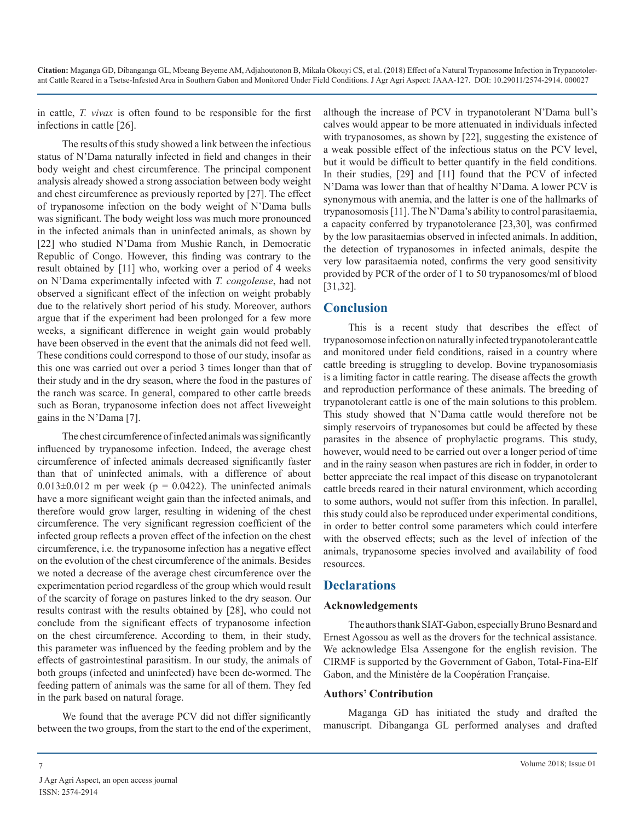in cattle, *T. vivax* is often found to be responsible for the first infections in cattle [26].

The results of this study showed a link between the infectious status of N'Dama naturally infected in field and changes in their body weight and chest circumference. The principal component analysis already showed a strong association between body weight and chest circumference as previously reported by [27]. The effect of trypanosome infection on the body weight of N'Dama bulls was significant. The body weight loss was much more pronounced in the infected animals than in uninfected animals, as shown by [22] who studied N'Dama from Mushie Ranch, in Democratic Republic of Congo. However, this finding was contrary to the result obtained by [11] who, working over a period of 4 weeks on N'Dama experimentally infected with *T. congolense*, had not observed a significant effect of the infection on weight probably due to the relatively short period of his study. Moreover, authors argue that if the experiment had been prolonged for a few more weeks, a significant difference in weight gain would probably have been observed in the event that the animals did not feed well. These conditions could correspond to those of our study, insofar as this one was carried out over a period 3 times longer than that of their study and in the dry season, where the food in the pastures of the ranch was scarce. In general, compared to other cattle breeds such as Boran, trypanosome infection does not affect liveweight gains in the N'Dama [7].

The chest circumference of infected animals was significantly influenced by trypanosome infection. Indeed, the average chest circumference of infected animals decreased significantly faster than that of uninfected animals, with a difference of about  $0.013\pm0.012$  m per week (p = 0.0422). The uninfected animals have a more significant weight gain than the infected animals, and therefore would grow larger, resulting in widening of the chest circumference. The very significant regression coefficient of the infected group reflects a proven effect of the infection on the chest circumference, i.e. the trypanosome infection has a negative effect on the evolution of the chest circumference of the animals. Besides we noted a decrease of the average chest circumference over the experimentation period regardless of the group which would result of the scarcity of forage on pastures linked to the dry season. Our results contrast with the results obtained by [28], who could not conclude from the significant effects of trypanosome infection on the chest circumference. According to them, in their study, this parameter was influenced by the feeding problem and by the effects of gastrointestinal parasitism. In our study, the animals of both groups (infected and uninfected) have been de-wormed. The feeding pattern of animals was the same for all of them. They fed in the park based on natural forage.

We found that the average PCV did not differ significantly between the two groups, from the start to the end of the experiment,

although the increase of PCV in trypanotolerant N'Dama bull's calves would appear to be more attenuated in individuals infected with trypanosomes, as shown by [22], suggesting the existence of a weak possible effect of the infectious status on the PCV level, but it would be difficult to better quantify in the field conditions. In their studies, [29] and [11] found that the PCV of infected N'Dama was lower than that of healthy N'Dama. A lower PCV is synonymous with anemia, and the latter is one of the hallmarks of trypanosomosis [11]. The N'Dama's ability to control parasitaemia, a capacity conferred by trypanotolerance [23,30], was confirmed by the low parasitaemias observed in infected animals. In addition, the detection of trypanosomes in infected animals, despite the very low parasitaemia noted, confirms the very good sensitivity provided by PCR of the order of 1 to 50 trypanosomes/ml of blood [31,32].

#### **Conclusion**

This is a recent study that describes the effect of trypanosomose infection on naturally infected trypanotolerant cattle and monitored under field conditions, raised in a country where cattle breeding is struggling to develop. Bovine trypanosomiasis is a limiting factor in cattle rearing. The disease affects the growth and reproduction performance of these animals. The breeding of trypanotolerant cattle is one of the main solutions to this problem. This study showed that N'Dama cattle would therefore not be simply reservoirs of trypanosomes but could be affected by these parasites in the absence of prophylactic programs. This study, however, would need to be carried out over a longer period of time and in the rainy season when pastures are rich in fodder, in order to better appreciate the real impact of this disease on trypanotolerant cattle breeds reared in their natural environment, which according to some authors, would not suffer from this infection. In parallel, this study could also be reproduced under experimental conditions, in order to better control some parameters which could interfere with the observed effects; such as the level of infection of the animals, trypanosome species involved and availability of food resources.

#### **Declarations**

#### **Acknowledgements**

The authors thank SIAT-Gabon, especially Bruno Besnard and Ernest Agossou as well as the drovers for the technical assistance. We acknowledge Elsa Assengone for the english revision. The CIRMF is supported by the Government of Gabon, Total-Fina-Elf Gabon, and the Ministère de la Coopération Française.

#### **Authors' Contribution**

Maganga GD has initiated the study and drafted the manuscript. Dibanganga GL performed analyses and drafted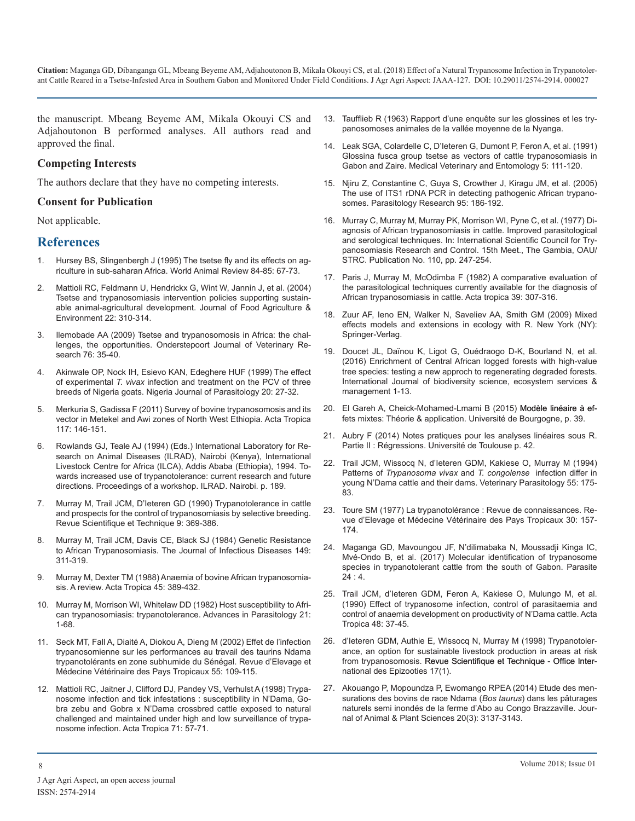the manuscript. Mbeang Beyeme AM, Mikala Okouyi CS and Adjahoutonon B performed analyses. All authors read and approved the final.

#### **Competing Interests**

The authors declare that they have no competing interests.

#### **Consent for Publication**

Not applicable.

#### **References**

- 1. Hursey BS, Slingenbergh J (1995) The tsetse fly and its effects on agriculture in sub-saharan Africa. World Animal Review 84-85: 67-73.
- 2. [Mattioli RC, Feldmann U, Hendrickx G, Wint W, Jannin J, et al. \(2004\)](https://www.researchgate.net/publication/228865816_Tsetse_and_trypanosomiasis_intervention_policies_supporting_sustainable_animal-agricultural_development) Tsetse and trypanosomiasis intervention policies supporting sustain[able animal-agricultural development. Journal of Food Agriculture &](https://www.researchgate.net/publication/228865816_Tsetse_and_trypanosomiasis_intervention_policies_supporting_sustainable_animal-agricultural_development)  [Environment 22: 310-314](https://www.researchgate.net/publication/228865816_Tsetse_and_trypanosomiasis_intervention_policies_supporting_sustainable_animal-agricultural_development).
- 3. [Ilemobade AA \(2009\) Tsetse and trypanosomosis in Africa: the chal](https://www.ncbi.nlm.nih.gov/pubmed/19967926)lenges, the opportunities. Onderstepoort Journal of Veterinary Re[search 76: 35-40.](https://www.ncbi.nlm.nih.gov/pubmed/19967926)
- 4. Akinwale OP, Nock IH, Esievo KAN, Edeghere HUF (1999) The effect of experimental *T. vivax* infection and treatment on the PCV of three breeds of Nigeria goats. Nigeria Journal of Parasitology 20: 27-32.
- 5. [Merkuria S, Gadissa F \(2011\) Survey of bovine trypanosomosis and its](https://www.sciencedirect.com/science/article/pii/S0001706X10002937)  vector in Metekel and Awi zones of North West Ethiopia. Acta Tropica [117: 146-151](https://www.sciencedirect.com/science/article/pii/S0001706X10002937).
- 6. Rowlands GJ, Teale AJ (1994) (Eds.) International Laboratory for Research on Animal Diseases (ILRAD), Nairobi (Kenya), International Livestock Centre for Africa (ILCA), Addis Ababa (Ethiopia), 1994. Towards increased use of trypanotolerance: current research and future directions. Proceedings of a workshop. ILRAD. Nairobi. p. 189.
- 7. [Murray M, Trail JCM, D'Ieteren GD \(1990\) Trypanotolerance in cattle](https://www.ncbi.nlm.nih.gov/pubmed/2132686)  and prospects for the control of trypanosomiasis by selective breeding. [Revue Scientifique et Technique 9: 369-386](https://www.ncbi.nlm.nih.gov/pubmed/2132686).
- 8. [Murray M, Trail JCM, Davis CE, Black SJ \(1984\) Genetic Resistance](https://www.ncbi.nlm.nih.gov/pubmed/6371153)  to African Trypanosomiasis. The Journal of Infectious Diseases 149: [311-319](https://www.ncbi.nlm.nih.gov/pubmed/6371153).
- 9. [Murray M, Dexter TM \(1988\) Anaemia of bovine African trypanosomia](https://www.ncbi.nlm.nih.gov/pubmed/2907267)sis. A review. Acta Tropica 45: 389-432.
- 10. [Murray M, Morrison WI, Whitelaw DD \(1982\) Host susceptibility to Afri](https://www.sciencedirect.com/science/article/pii/S0065308X08602742)can trypanosomiasis: trypanotolerance. Advances in Parasitology 21: [1-68](https://www.sciencedirect.com/science/article/pii/S0065308X08602742).
- 11. [Seck MT, Fall A, Diaité A, Diokou A, Dieng M \(2002\) Effet de l'infection](http://remvt.cirad.fr/revue/notice_fr.php?dk=514858)  [trypanosomienne sur les performances au travail des taurins Ndama](http://remvt.cirad.fr/revue/notice_fr.php?dk=514858)  [trypanotolérants en zone subhumide du Sénégal. Revue d'Elevage et](http://remvt.cirad.fr/revue/notice_fr.php?dk=514858)  [Médecine Vétérinaire des Pays Tropicaux 55: 109-115](http://remvt.cirad.fr/revue/notice_fr.php?dk=514858).
- 12. [Mattioli RC, Jaitner J, Clifford DJ, Pandey VS, Verhulst A \(1998\) Trypa](https://www.ncbi.nlm.nih.gov/pubmed/9776143)nosome infection and tick infestations : susceptibility in N'Dama, Go[bra zebu and Gobra x N'Dama crossbred cattle exposed to natural](https://www.ncbi.nlm.nih.gov/pubmed/9776143)  [challenged and maintained under high and low surveillance of trypa](https://www.ncbi.nlm.nih.gov/pubmed/9776143)[nosome infection. Acta Tropica 71: 57-71](https://www.ncbi.nlm.nih.gov/pubmed/9776143).
- 13. [Taufflieb R \(1963\) Rapport d'une enquête sur les glossines et les try](http://www.documentation.ird.fr/hor/fdi:10604)panosomoses animales de la vallée moyenne de la Nyanga.
- 14. [Leak SGA, Colardelle C, D'Ieteren G, Dumont P, Feron A, et al. \(1991\)](https://www.ncbi.nlm.nih.gov/pubmed/1768890)  Glossina fusca group tsetse as vectors of cattle trypanosomiasis in [Gabon and Zaire. Medical Veterinary and Entomology 5: 111-120](https://www.ncbi.nlm.nih.gov/pubmed/1768890).
- 15. [Njiru Z, Constantine C, Guya S, Crowther J, Kiragu JM, et al. \(2005\)](https://www.ncbi.nlm.nih.gov/pubmed/15619129http:/www.ncbi.nlm.nih.gov/pubmed?term=Kiragu JM%5BAuthor%5D&cauthor=true&cauthor_uid=15619129)  [The use of ITS1 rDNA PCR in detecting pathogenic African trypano](https://www.ncbi.nlm.nih.gov/pubmed/15619129http:/www.ncbi.nlm.nih.gov/pubmed?term=Kiragu JM%5BAuthor%5D&cauthor=true&cauthor_uid=15619129)[somes. Parasitology Research 95: 186-192.](https://www.ncbi.nlm.nih.gov/pubmed/15619129http:/www.ncbi.nlm.nih.gov/pubmed?term=Kiragu JM%5BAuthor%5D&cauthor=true&cauthor_uid=15619129)
- 16. Murray C, Murray M, Murray PK, Morrison WI, Pyne C, et al. (1977) Diagnosis of African trypanosomiasis in cattle. Improved parasitological and serological techniques. In: International Scientific Council for Trypanosomiasis Research and Control. 15th Meet., The Gambia, OAU/ STRC. Publication No. 110, pp. 247-254.
- 17. [Paris J, Murray M, McOdimba F \(1982\) A comparative evaluation of](https://www.ncbi.nlm.nih.gov/pubmed/6131590) the parasitological techniques currently available for the diagnosis o[f](https://www.ncbi.nlm.nih.gov/pubmed/6131590)  [African trypanosomiasis in cattle. Acta tropica 39: 307-316](https://www.researchgate.net/publication/228865816_Tsetse_and_trypanosomiasis_intervention_policies_supporting_sustainable_animal-agricultural_development).
- 18. Zuur AF, Ieno EN, Walker N, Saveliev AA, Smith GM (2009) Mixed effects models and extensions in ecology with R. New York (NY): Springer-Verlag.
- 19. [Doucet JL, Daïnou K, Ligot G, Ouédraogo D-K, Bourland N, et al.](http://www.gembloux.ulg.ac.be/gestion-des-ressources-forestieres/2016/04/07/enrichment-of-central-african-logged-forests-with-high-value-tree-species-testing-a-new-approach-to-regenerating-degraded-forests/) (2016) Enrichment of Central African logged forests with high-value [tree species: testing a new approch to regenerating degraded forests.](http://www.gembloux.ulg.ac.be/gestion-des-ressources-forestieres/2016/04/07/enrichment-of-central-african-logged-forests-with-high-value-tree-species-testing-a-new-approach-to-regenerating-degraded-forests/) [International Journal of biodiversity science, ecosystem services &](http://www.gembloux.ulg.ac.be/gestion-des-ressources-forestieres/2016/04/07/enrichment-of-central-african-logged-forests-with-high-value-tree-species-testing-a-new-approach-to-regenerating-degraded-forests/) [management 1-13](http://www.gembloux.ulg.ac.be/gestion-des-ressources-forestieres/2016/04/07/enrichment-of-central-african-logged-forests-with-high-value-tree-species-testing-a-new-approach-to-regenerating-degraded-forests/).
- 20. El Gareh A, Cheick-Mohamed-Lmami B (2015) Modèle linéaire à ef[fets mixtes: Théorie & application. Université de Bourgogne, p. 39.](https://www.sciencedirect.com/science/article/pii/S0001706X10002937)
- 21. Aubry F (2014) Notes pratiques pour les analyses linéaires sous R. Partie II : Régressions. Université de Toulouse p. 42.
- 22. [Trail JCM, Wissocq N, d'Ieteren GDM, Kakiese O, Murray M \(1994\)](https://www.ncbi.nlm.nih.gov/pubmed/7879376) Patterns of *Trypanosoma vivax* and *T. congolense* infection differ in [young N'Dama cattle and their dams. Veterinary Parasitology 55: 175-](https://www.ncbi.nlm.nih.gov/pubmed/7879376) [83](https://www.ncbi.nlm.nih.gov/pubmed/7879376).
- 23. [Toure SM \(1977\) La trypanotolérance](http://remvt.cirad.fr/revue/notice_fr.php?dk=455342) : Revue de connaissances. Re[vue d'Elevage et Médecine Vétérinaire des Pays Tropicaux 30: 157-](http://remvt.cirad.fr/revue/notice_fr.php?dk=455342) [174](http://remvt.cirad.fr/revue/notice_fr.php?dk=455342).
- 24. [Maganga GD, Mavoungou JF, N'dilimabaka N, Moussadji Kinga IC,](https://www.ncbi.nlm.nih.gov/pubmed/28145221) Mvé-Ondo B, et al. (2017) Molecular identification of trypanosome [species in trypanotolerant cattle from the south of Gabon. Parasite](https://www.ncbi.nlm.nih.gov/pubmed/28145221) [24](https://www.ncbi.nlm.nih.gov/pubmed/28145221) : 4.
- 25. [Trail JCM, d'Ieteren GDM, Feron A, Kakiese O, Mulungo M, et al.](https://www.ncbi.nlm.nih.gov/pubmed/1980802) (1990) Effect of trypanosome infection, control of parasitaemia and [control of anaemia development on productivity of N'Dama cattle. Acta](https://www.sciencedirect.com/science/article/pii/S0065308X08602742)  [Tropica 48: 37-45](https://www.ncbi.nlm.nih.gov/pubmed/1980802).
- 26. d'Ieteren GDM, Authie E, Wissocq N, Murray M (1998) Trypanotolerance, an option for sustainable livestock production in areas at risk from trypanosomosis. Revue Scientifique et Technique - Office International des Epizooties 17(1).
- 27. [Akouango P, Mopoundza P, Ewomango RPEA \(2014\) Etude des men](http://www.m.elewa.org/JAPS/2014/20.3/1.pdf)[surations des bovins de race Ndama \(](https://www.ncbi.nlm.nih.gov/pubmed/9776143)*Bos taurus*) dans les pâturages [naturels semi inondés de la ferme d'Abo au Congo Brazzaville. Jour](http://www.m.elewa.org/JAPS/2014/20.3/1.pdf)[nal of Animal & Plant Sciences 20\(3\): 3137-3143](http://www.m.elewa.org/JAPS/2014/20.3/1.pdf).